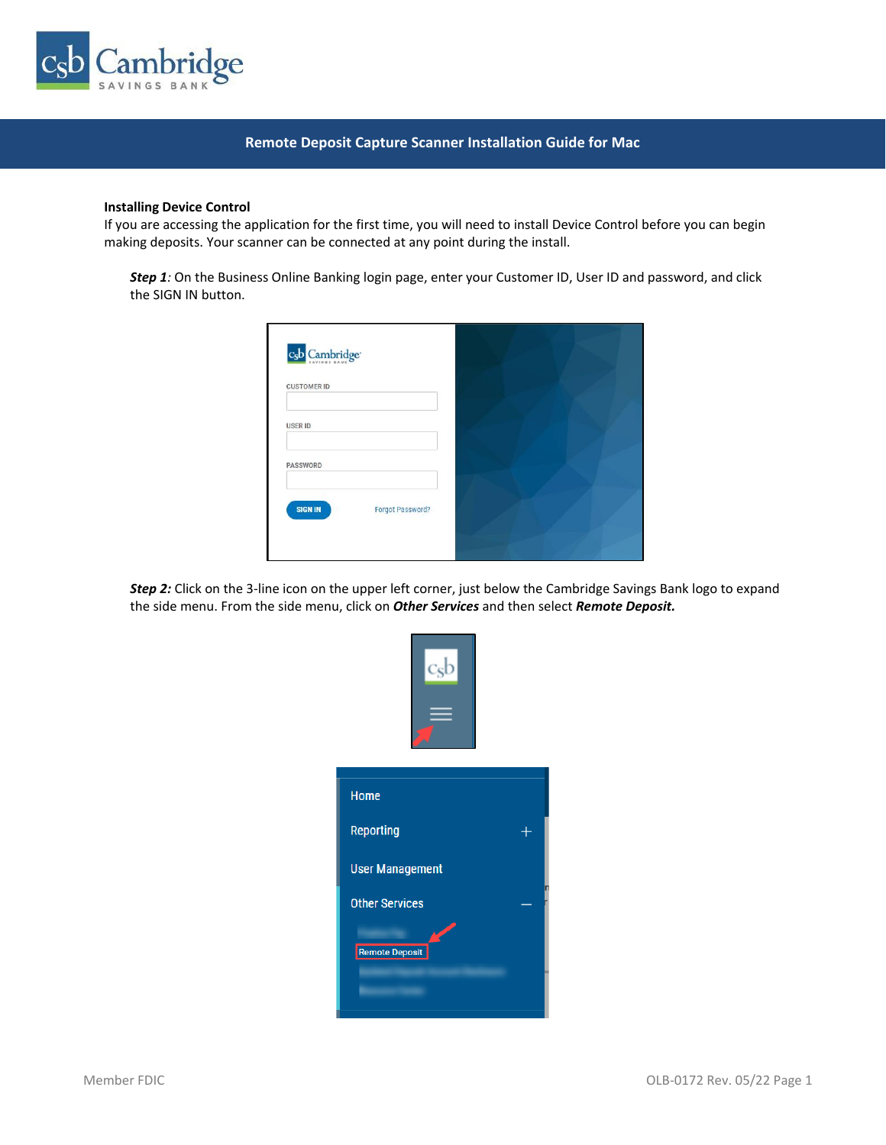

# **Remote Deposit Capture Scanner Installation Guide for Mac**

### **Installing Device Control**

If you are accessing the application for the first time, you will need to install Device Control before you can begin making deposits. Your scanner can be connected at any point during the install.

*Step 1:* On the Business Online Banking login page, enter your Customer ID, User ID and password, and click the SIGN IN button.

| c <sub>s</sub> b Cambridge <sup>®</sup>   |  |
|-------------------------------------------|--|
| <b>CUSTOMER ID</b>                        |  |
| <b>USER ID</b>                            |  |
| PASSWORD                                  |  |
| <b>SIGN IN</b><br><b>Forgot Password?</b> |  |
|                                           |  |

*Step 2:* Click on the 3-line icon on the upper left corner, just below the Cambridge Savings Bank logo to expand the side menu. From the side menu, click on *Other Services* and then select *Remote Deposit.*

| <b>Home</b>            |   |
|------------------------|---|
| <b>Reporting</b>       |   |
| <b>User Management</b> |   |
| <b>Other Services</b>  | n |
| Remote Deposit         |   |
|                        |   |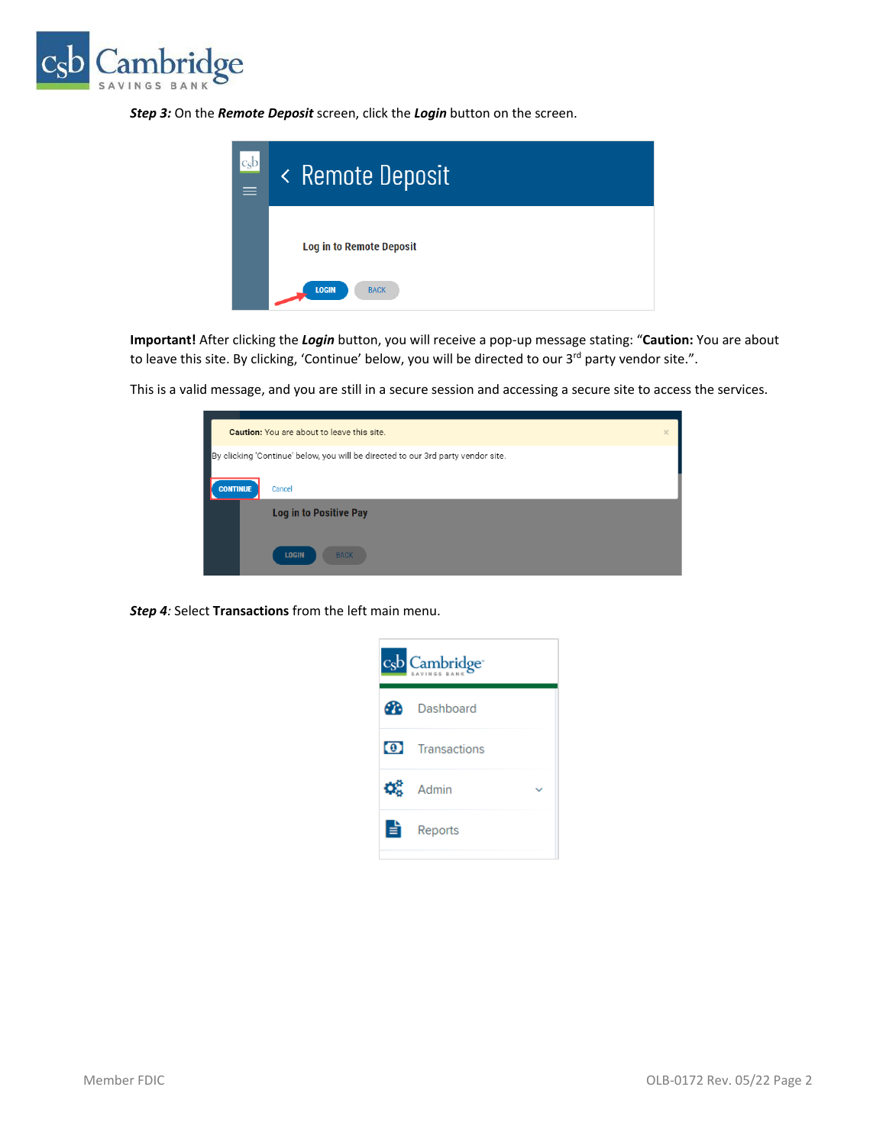

*Step 3:* On the *Remote Deposit* screen, click the *Login* button on the screen.



**Important!** After clicking the *Login* button, you will receive a pop-up message stating: "**Caution:** You are about to leave this site. By clicking, 'Continue' below, you will be directed to our 3<sup>rd</sup> party vendor site.".

This is a valid message, and you are still in a secure session and accessing a secure site to access the services.

|                 | <b>Caution:</b> You are about to leave this site.                                | $\times$ |
|-----------------|----------------------------------------------------------------------------------|----------|
|                 | By clicking 'Continue' below, you will be directed to our 3rd party vendor site. |          |
| <b>CONTINUE</b> | Cancel                                                                           |          |
|                 | <b>Log in to Positive Pay</b>                                                    |          |
|                 | <b>LOGIN</b><br><b>BACK</b>                                                      |          |

*Step 4:* Select **Transactions** from the left main menu.

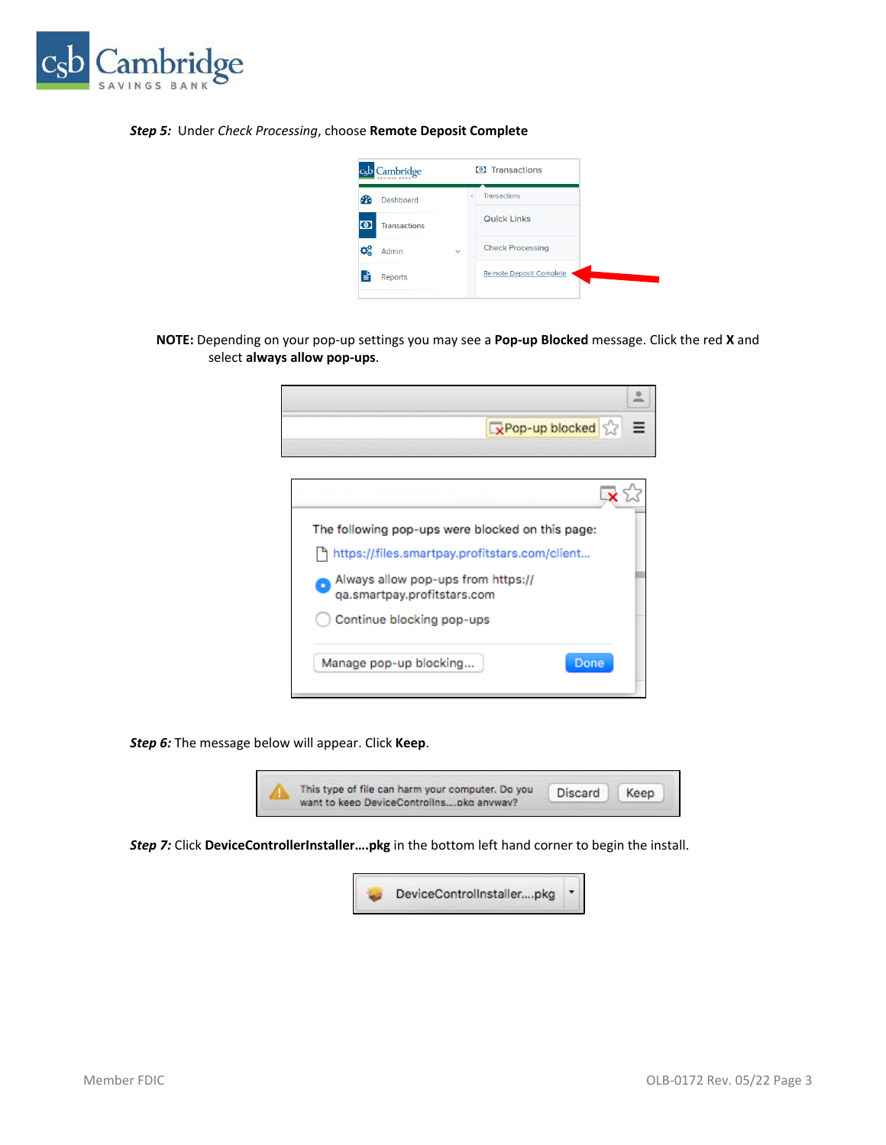

### *Step 5:* Under *Check Processing*, choose **Remote Deposit Complete**

| Cambridge <sup>-</sup>              |              | <b>O</b> Transactions          |
|-------------------------------------|--------------|--------------------------------|
| Dashboard                           |              | <b>Transactions</b>            |
| $\mathbf{O}$<br><b>Transactions</b> |              | <b>Quick Links</b>             |
| ¢å<br>Admin                         | $\checkmark$ | <b>Check Processing</b>        |
| E,<br><b>Reports</b>                |              | <b>Remote Deposit Complete</b> |
|                                     |              |                                |

**NOTE:** Depending on your pop-up settings you may see a **Pop-up Blocked** message. Click the red **X** and select **always allow pop-ups**.

| $\boxed{\mathbf{x}}$ Pop-up blocked $\boxed{\mathbf{x}} \equiv$ |
|-----------------------------------------------------------------|
|                                                                 |
|                                                                 |

| The following pop-ups were blocked on this page:                  |  |
|-------------------------------------------------------------------|--|
| https://files.smartpay.profitstars.com/client                     |  |
| Always allow pop-ups from https://<br>qa.smartpay.profitstars.com |  |
| Continue blocking pop-ups                                         |  |
| Manage pop-up blocking<br>Done                                    |  |

*Step 6:* The message below will appear. Click **Keep**.



*Step 7:* Click **DeviceControllerInstaller….pkg** in the bottom left hand corner to begin the install.

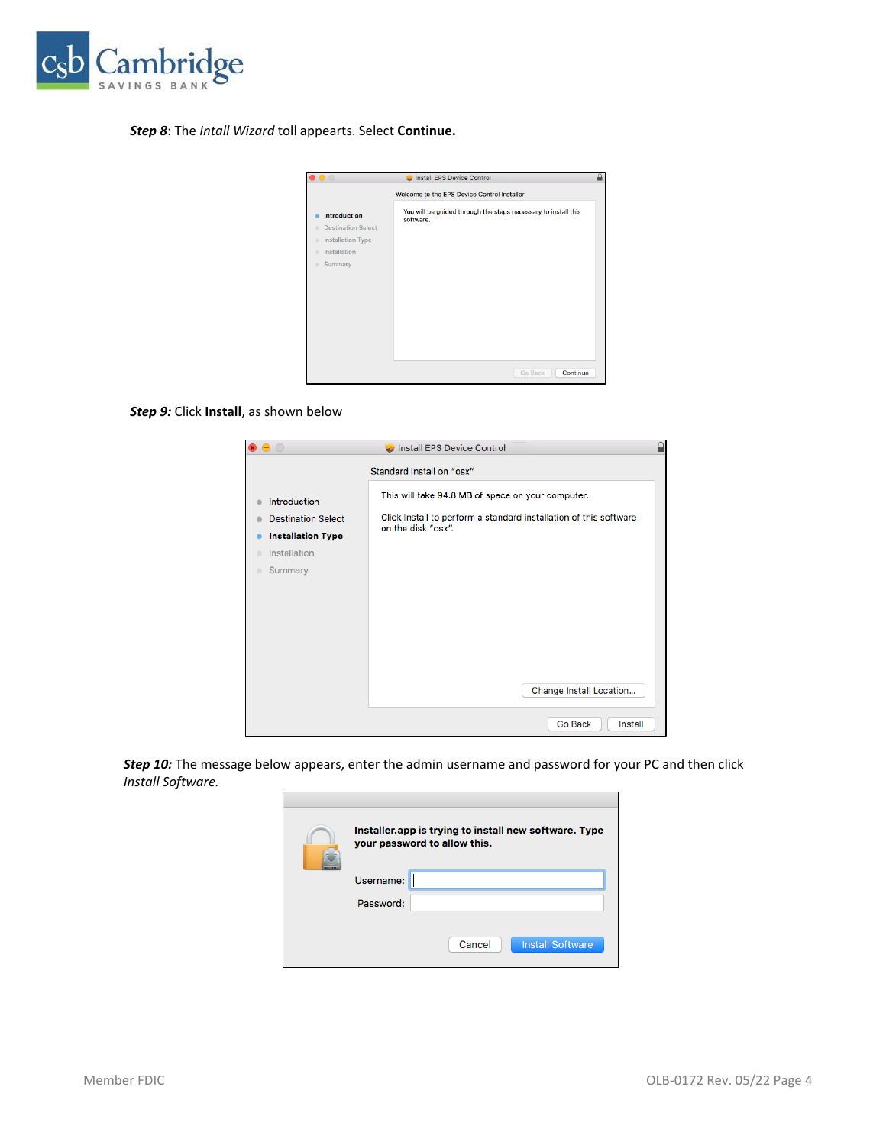

# *Step 8*: The *Intall Wizard* toll appearts. Select **Continue.**

| $\bigcirc$                                                                                                                                | Install EPS Device Control                                                  |
|-------------------------------------------------------------------------------------------------------------------------------------------|-----------------------------------------------------------------------------|
|                                                                                                                                           | Welcome to the EPS Device Control Installer                                 |
| <b>Introduction</b><br><b>Destination Select</b><br>$\sim$<br>Installation Type<br>$\sim$<br>Installation<br>$\sim$<br>Summary<br>$\circ$ | You will be guided through the steps necessary to install this<br>software. |
|                                                                                                                                           | Continue<br>Go Back                                                         |

### *Step 9:* Click **Install**, as shown below

| $\bullet$ $\circ$                                                                                                             | ≏<br>Install EPS Device Control                                                                                                                                         |
|-------------------------------------------------------------------------------------------------------------------------------|-------------------------------------------------------------------------------------------------------------------------------------------------------------------------|
|                                                                                                                               | Standard Install on "osx"                                                                                                                                               |
| Introduction<br><b>Destination Select</b><br><b>Installation Type</b><br>Installation<br>$\blacksquare$<br>Summary<br>$\circ$ | This will take 94.8 MB of space on your computer.<br>Click Install to perform a standard installation of this software<br>on the disk "osx".<br>Change Install Location |
|                                                                                                                               | Go Back<br>Install                                                                                                                                                      |

**Step 10:** The message below appears, enter the admin username and password for your PC and then click *Install Software.*

| Installer.app is trying to install new software. Type<br>your password to allow this. |
|---------------------------------------------------------------------------------------|
| Username:                                                                             |
| Password:                                                                             |
|                                                                                       |
| <b>Install Software</b><br>Cancel                                                     |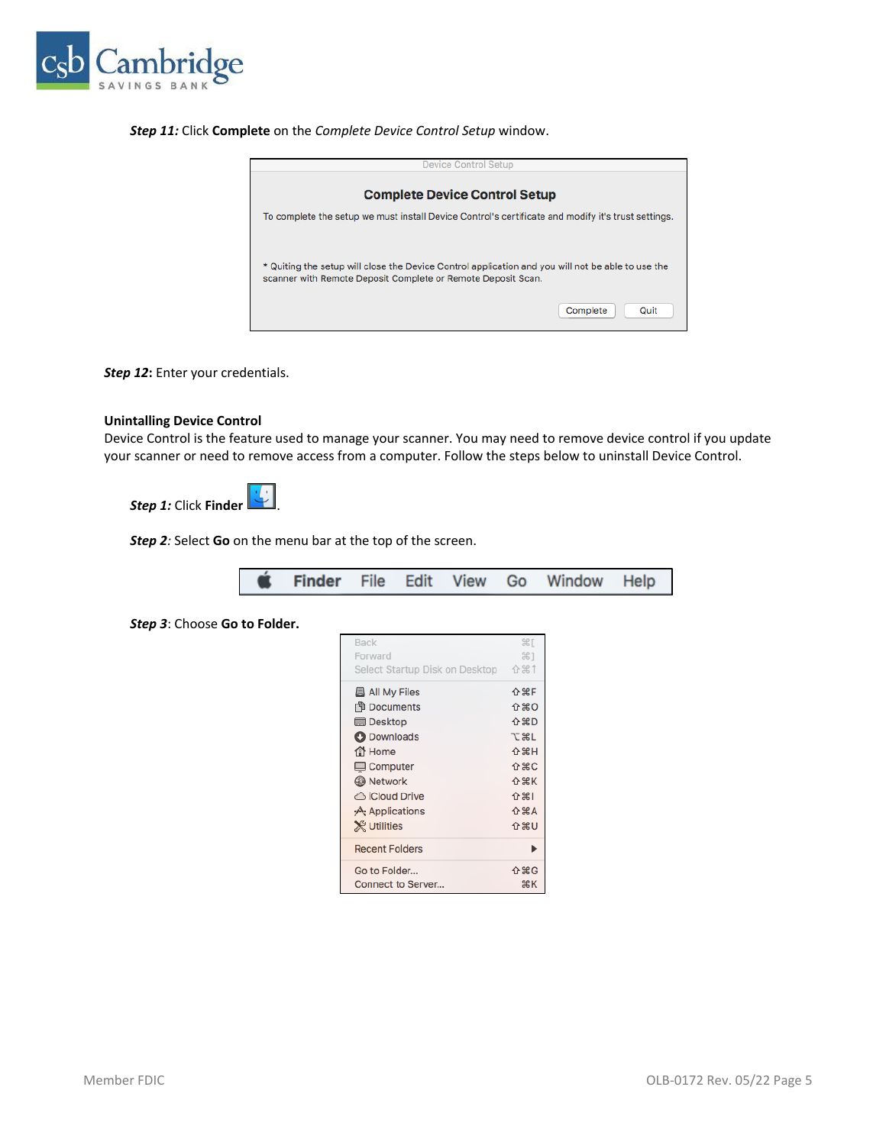

### *Step 11:* Click **Complete** on the *Complete Device Control Setup* window.



*Step 12***:** Enter your credentials.

### **Unintalling Device Control**

Device Control is the feature used to manage your scanner. You may need to remove device control if you update your scanner or need to remove access from a computer. Follow the steps below to uninstall Device Control.

*Step 1:* Click **Finder** .

*Step 2:* Select **Go** on the menu bar at the top of the screen.

|  |  |  |  |  |  |  | <b>S</b> Finder File Edit View Go Window Help |  |  |
|--|--|--|--|--|--|--|-----------------------------------------------|--|--|
|--|--|--|--|--|--|--|-----------------------------------------------|--|--|

*Step 3*: Choose **Go to Folder.**

| <b>Back</b>                    | $\frac{135}{25}$ |
|--------------------------------|------------------|
| Forward                        | #1               |
| Select Startup Disk on Desktop | 介出1              |
| <b>All My Files</b>            | <b>介</b> 第日      |
| <b>印 Documents</b>             | 介出の              |
| <b>Desktop</b>                 | <b>介出D</b>       |
| <b>O</b> Downloads             | <b>NEXT</b>      |
| <b>合</b> Home                  | <b>介出H</b>       |
| $\Box$ Computer                | 介出C              |
| <b>B</b> Network               | <b>介出K</b>       |
| ← iCloud Drive                 | ← 第1             |
| A: Applications                | <b>介出A</b>       |
| <b>X</b> Utilities             | 介出し              |
| <b>Recent Folders</b>          |                  |
| Go to Folder                   | 介 第G             |
| <b>Connect to Server</b>       | жĸ               |